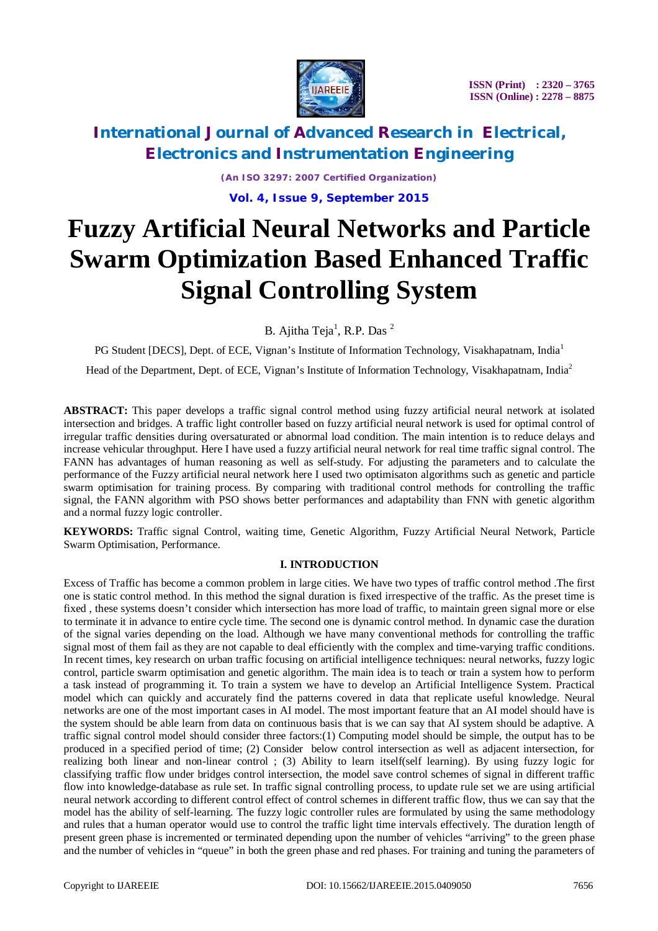

*(An ISO 3297: 2007 Certified Organization)*

**Vol. 4, Issue 9, September 2015**

# **Fuzzy Artificial Neural Networks and Particle Swarm Optimization Based Enhanced Traffic Signal Controlling System**

B. Ajitha Teja<sup>1</sup>, R.P. Das <sup>2</sup>

PG Student [DECS], Dept. of ECE, Vignan's Institute of Information Technology, Visakhapatnam, India<sup>1</sup>

Head of the Department, Dept. of ECE, Vignan's Institute of Information Technology, Visakhapatnam, India<sup>2</sup>

**ABSTRACT:** This paper develops a traffic signal control method using fuzzy artificial neural network at isolated intersection and bridges. A traffic light controller based on fuzzy artificial neural network is used for optimal control of irregular traffic densities during oversaturated or abnormal load condition. The main intention is to reduce delays and increase vehicular throughput. Here I have used a fuzzy artificial neural network for real time traffic signal control. The FANN has advantages of human reasoning as well as self-study. For adjusting the parameters and to calculate the performance of the Fuzzy artificial neural network here I used two optimisaton algorithms such as genetic and particle swarm optimisation for training process. By comparing with traditional control methods for controlling the traffic signal, the FANN algorithm with PSO shows better performances and adaptability than FNN with genetic algorithm and a normal fuzzy logic controller.

**KEYWORDS:** Traffic signal Control, waiting time, Genetic Algorithm, Fuzzy Artificial Neural Network, Particle Swarm Optimisation, Performance.

### **I. INTRODUCTION**

Excess of Traffic has become a common problem in large cities. We have two types of traffic control method .The first one is static control method. In this method the signal duration is fixed irrespective of the traffic. As the preset time is fixed , these systems doesn't consider which intersection has more load of traffic, to maintain green signal more or else to terminate it in advance to entire cycle time. The second one is dynamic control method. In dynamic case the duration of the signal varies depending on the load. Although we have many conventional methods for controlling the traffic signal most of them fail as they are not capable to deal efficiently with the complex and time-varying traffic conditions. In recent times, key research on urban traffic focusing on artificial intelligence techniques: neural networks, fuzzy logic control, particle swarm optimisation and genetic algorithm. The main idea is to teach or train a system how to perform a task instead of programming it. To train a system we have to develop an Artificial Intelligence System. Practical model which can quickly and accurately find the patterns covered in data that replicate useful knowledge. Neural networks are one of the most important cases in AI model. The most important feature that an AI model should have is the system should be able learn from data on continuous basis that is we can say that AI system should be adaptive. A traffic signal control model should consider three factors:(1) Computing model should be simple, the output has to be produced in a specified period of time; (2) Consider below control intersection as well as adjacent intersection, for realizing both linear and non-linear control ; (3) Ability to learn itself(self learning). By using fuzzy logic for classifying traffic flow under bridges control intersection, the model save control schemes of signal in different traffic flow into knowledge-database as rule set. In traffic signal controlling process, to update rule set we are using artificial neural network according to different control effect of control schemes in different traffic flow, thus we can say that the model has the ability of self-learning. The fuzzy logic controller rules are formulated by using the same methodology and rules that a human operator would use to control the traffic light time intervals effectively. The duration length of present green phase is incremented or terminated depending upon the number of vehicles "arriving" to the green phase and the number of vehicles in "queue" in both the green phase and red phases. For training and tuning the parameters of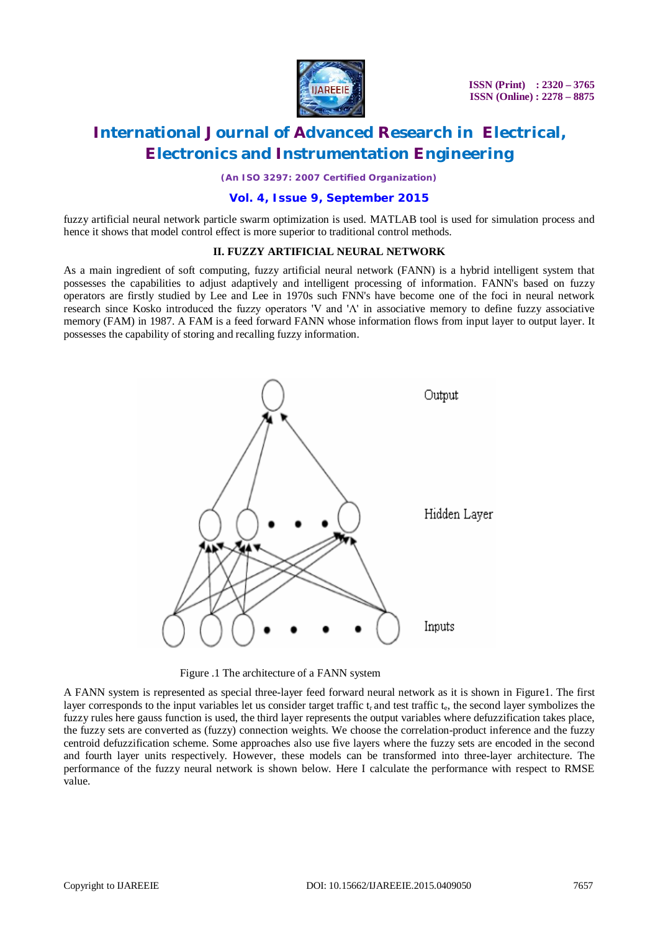

*(An ISO 3297: 2007 Certified Organization)*

### **Vol. 4, Issue 9, September 2015**

fuzzy artificial neural network particle swarm optimization is used. MATLAB tool is used for simulation process and hence it shows that model control effect is more superior to traditional control methods.

### **II. FUZZY ARTIFICIAL NEURAL NETWORK**

As a main ingredient of soft computing, fuzzy artificial neural network (FANN) is a hybrid intelligent system that possesses the capabilities to adjust adaptively and intelligent processing of information. FANN's based on fuzzy operators are firstly studied by Lee and Lee in 1970s such FNN's have become one of the foci in neural network research since Kosko introduced the fuzzy operators 'V and 'Λ' in associative memory to define fuzzy associative memory (FAM) in 1987. A FAM is a feed forward FANN whose information flows from input layer to output layer. It possesses the capability of storing and recalling fuzzy information.



Figure .1 The architecture of a FANN system

A FANN system is represented as special three-layer feed forward neural network as it is shown in Figure1. The first layer corresponds to the input variables let us consider target traffic t<sub>r</sub> and test traffic t<sub>e</sub>, the second layer symbolizes the fuzzy rules here gauss function is used, the third layer represents the output variables where defuzzification takes place, the fuzzy sets are converted as (fuzzy) connection weights. We choose the correlation-product inference and the fuzzy centroid defuzzification scheme. Some approaches also use five layers where the fuzzy sets are encoded in the second and fourth layer units respectively. However, these models can be transformed into three-layer architecture. The performance of the fuzzy neural network is shown below. Here I calculate the performance with respect to RMSE value.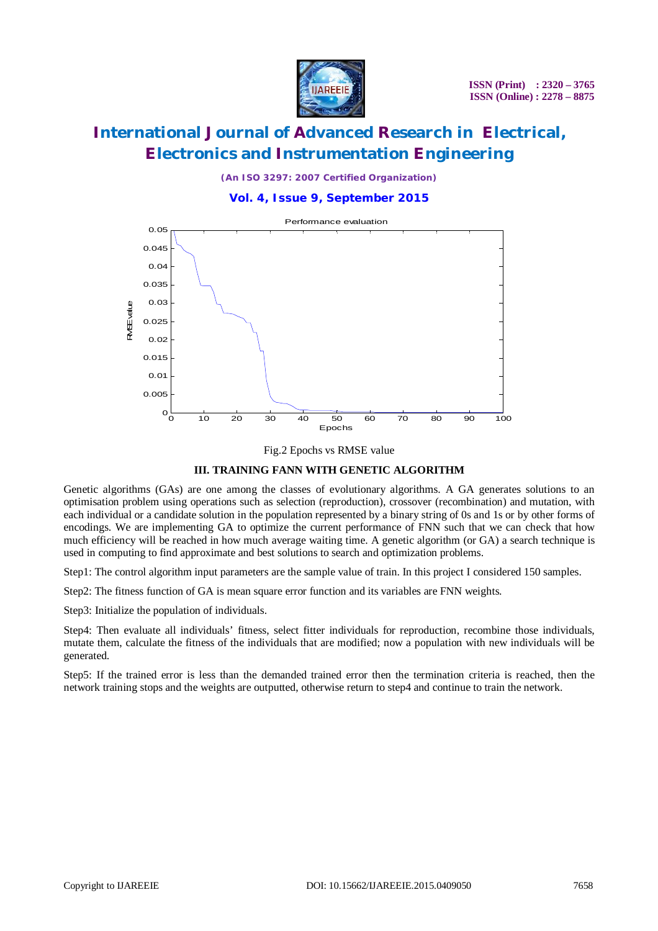

*(An ISO 3297: 2007 Certified Organization)*

### **Vol. 4, Issue 9, September 2015**



Fig.2 Epochs vs RMSE value

#### **III. TRAINING FANN WITH GENETIC ALGORITHM**

Genetic algorithms (GAs) are one among the classes of evolutionary algorithms. A GA generates solutions to an optimisation problem using operations such as selection (reproduction), crossover (recombination) and mutation, with each individual or a candidate solution in the population represented by a binary string of 0s and 1s or by other forms of encodings. We are implementing GA to optimize the current performance of FNN such that we can check that how much efficiency will be reached in how much average waiting time. A genetic algorithm (or GA) a search technique is used in computing to find approximate and best solutions to search and optimization problems.

Step1: The control algorithm input parameters are the sample value of train. In this project I considered 150 samples.

Step2: The fitness function of GA is mean square error function and its variables are FNN weights.

Step3: Initialize the population of individuals.

Step4: Then evaluate all individuals' fitness, select fitter individuals for reproduction, recombine those individuals, mutate them, calculate the fitness of the individuals that are modified; now a population with new individuals will be generated.

Step5: If the trained error is less than the demanded trained error then the termination criteria is reached, then the network training stops and the weights are outputted, otherwise return to step4 and continue to train the network.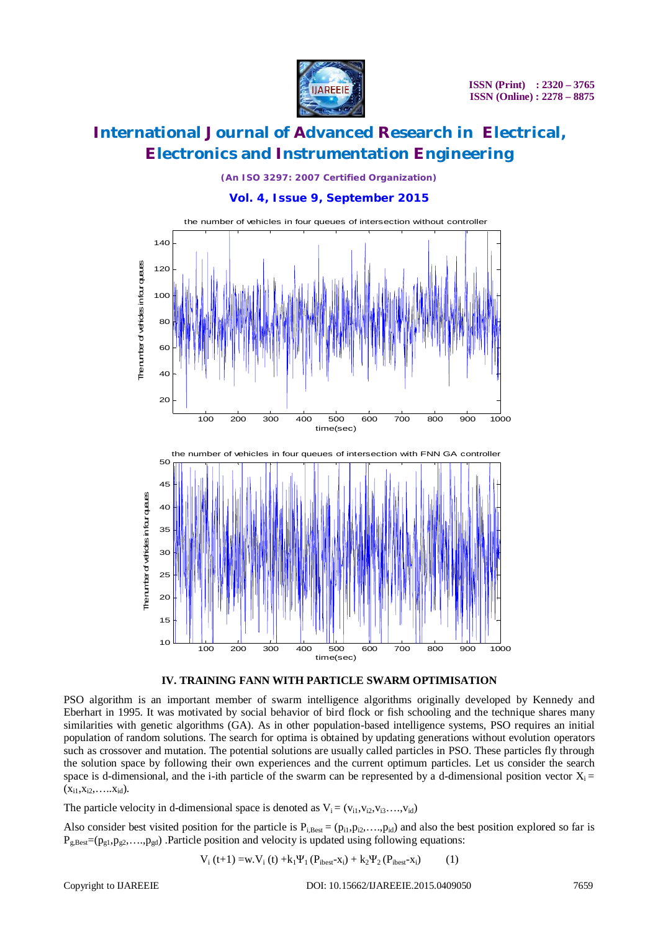

*(An ISO 3297: 2007 Certified Organization)*

**Vol. 4, Issue 9, September 2015**





PSO algorithm is an important member of swarm intelligence algorithms originally developed by Kennedy and Eberhart in 1995. It was motivated by social behavior of bird flock or fish schooling and the technique shares many similarities with genetic algorithms (GA). As in other population-based intelligence systems, PSO requires an initial population of random solutions. The search for optima is obtained by updating generations without evolution operators such as crossover and mutation. The potential solutions are usually called particles in PSO. These particles fly through the solution space by following their own experiences and the current optimum particles. Let us consider the search space is d-dimensional, and the i-ith particle of the swarm can be represented by a d-dimensional position vector  $X_i =$  $(x_{i1},x_{i2},\ldots,x_{id}).$ 

The particle velocity in d-dimensional space is denoted as  $V_i = (v_{i1}, v_{i2}, v_{i3}, \ldots, v_{id})$ 

Also consider best visited position for the particle is  $P_{i, Best} = (p_{i1}, p_{i2}, \ldots, p_{id})$  and also the best position explored so far is  $P_{g,Best} = (p_{g1}, p_{g2}, \ldots, p_{gd})$  .Particle position and velocity is updated using following equations:

$$
V_{i}(t+1) = w.V_{i}(t) + k_{1} \Psi_{1}(P_{ibest} - x_{i}) + k_{2} \Psi_{2}(P_{ibest} - x_{i})
$$
 (1)

Copyright to IJAREEIE DOI: 10.15662/IJAREEIE.2015.0409050 7659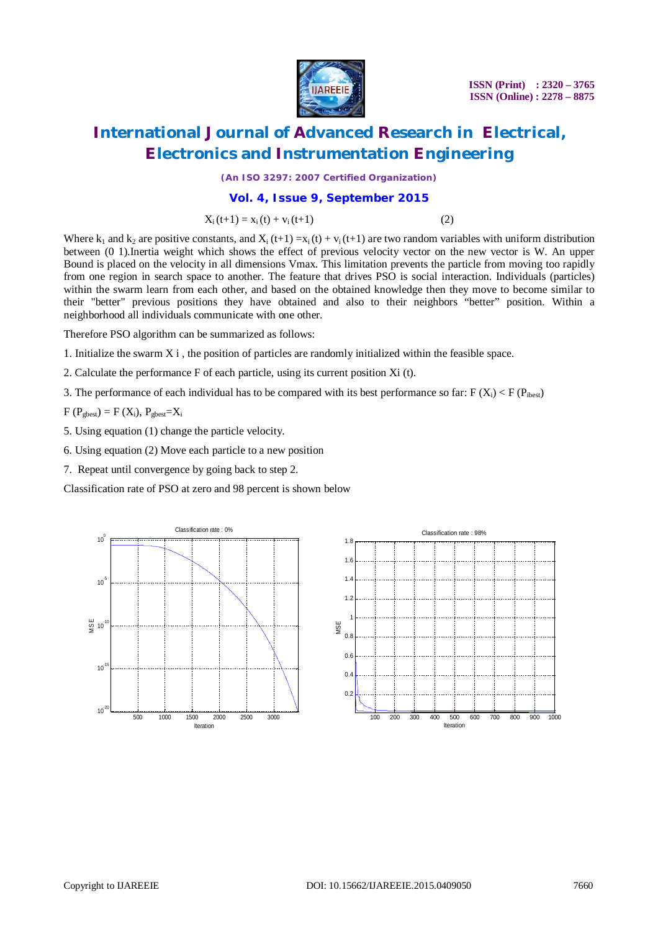

 **ISSN (Print) : 2320 – 3765 ISSN (Online) : 2278 – 8875**

# **International Journal of Advanced Research in Electrical, Electronics and Instrumentation Engineering**

*(An ISO 3297: 2007 Certified Organization)*

### **Vol. 4, Issue 9, September 2015**

 $X_i(t+1) = x_i(t) + v_i(t+1)$  (2)

Where k<sub>1</sub> and k<sub>2</sub> are positive constants, and X<sub>i</sub> (t+1) =x<sub>i</sub> (t) + v<sub>i</sub> (t+1) are two random variables with uniform distribution between (0 1).Inertia weight which shows the effect of previous velocity vector on the new vector is W. An upper Bound is placed on the velocity in all dimensions Vmax*.* This limitation prevents the particle from moving too rapidly from one region in search space to another. The feature that drives PSO is social interaction. Individuals (particles) within the swarm learn from each other, and based on the obtained knowledge then they move to become similar to their "better" previous positions they have obtained and also to their neighbors "better" position. Within a neighborhood all individuals communicate with one other.

Therefore PSO algorithm can be summarized as follows:

- 1. Initialize the swarm X i , the position of particles are randomly initialized within the feasible space.
- 2. Calculate the performance F of each particle, using its current position Xi (t).
- 3. The performance of each individual has to be compared with its best performance so far: F ( $X_i$ ) < F ( $P_{ibest}$ )

 $F(P_{\text{ghost}}) = F(X_i)$ ,  $P_{\text{shest}} = X_i$ 

5. Using equation (1) change the particle velocity.

- 6. Using equation (2) Move each particle to a new position
- 7. Repeat until convergence by going back to step 2.

Classification rate of PSO at zero and 98 percent is shown below